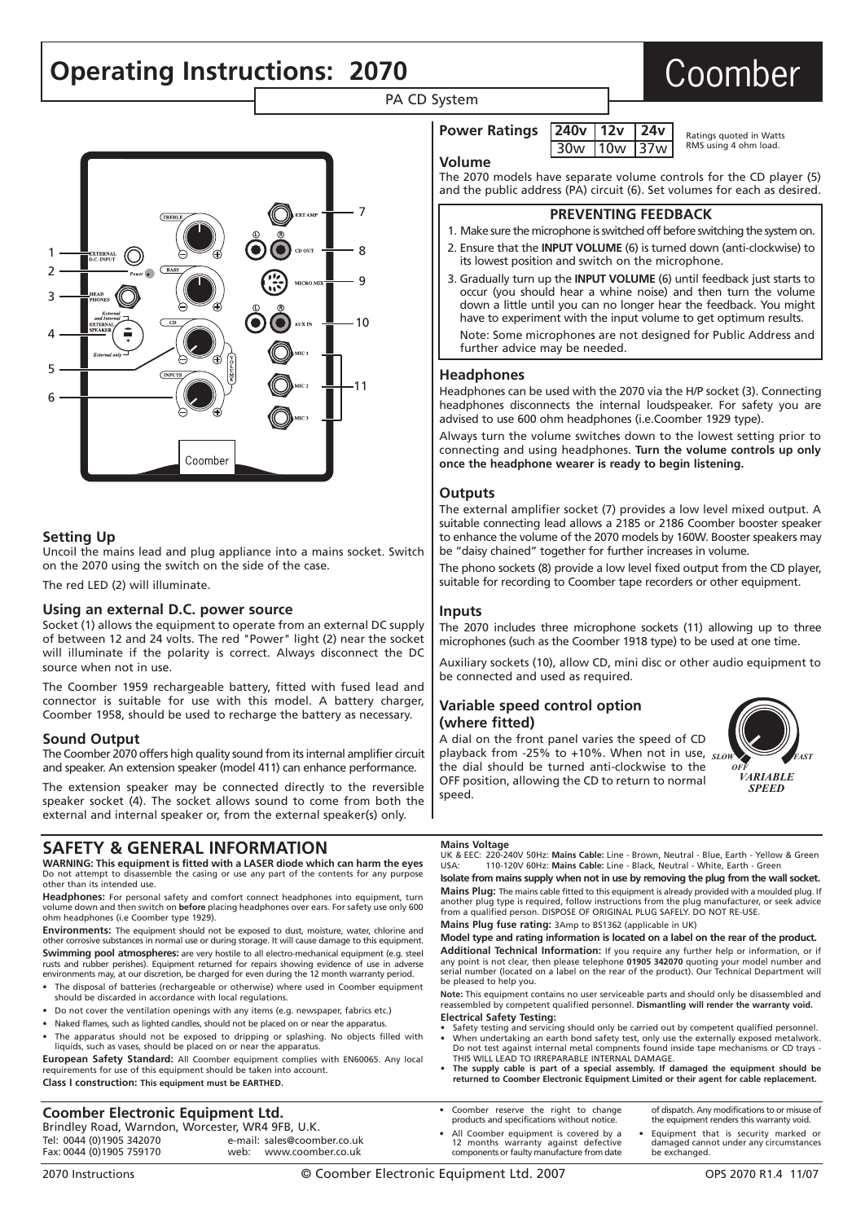# **Operating Instructions: 2070 Coomber**

PA CD System



#### **Setting Up**

Uncoil the mains lead and plug appliance into a mains socket. Switch on the 2070 using the switch on the side of the case.

The red LED (2) will illuminate.

#### **Using an external D.C. power source**

Socket (1) allows the equipment to operate from an external DC supply of between 12 and 24 volts. The red "Power" light (2) near the socket will illuminate if the polarity is correct. Always disconnect the DC source when not in use.

The Coomber 1959 rechargeable battery, fitted with fused lead and connector is suitable for use with this model. A battery charger, Coomber 1958, should be used to recharge the battery as necessary.

#### **Sound Output**

The Coomber 2070 offers high quality sound from its internal amplifier circuit and speaker. An extension speaker (model 411) can enhance performance.

The extension speaker may be connected directly to the reversible speaker socket (4). The socket allows sound to come from both the external and internal speaker or, from the external speaker(s) only.

### **SAFETY & GENERAL INFORMATION**

**WARNING: This equipment is fitted with a LASER diode which can harm the eyes** Do not attempt to disassemble the casing or use any part of the contents for any purpose other than its intended use.

**Headphones:** For personal safety and comfort connect headphones into equipment, turn volume down and then switch on **before** placing headphones over ears. For safety use only 600 ohm headphones (i.e Coomber type 1929).

**Environments:** The equipment should not be exposed to dust, moisture, water, chlorine and other corrosive substances in normal use or during storage. It will cause damage to this equipment. **Swimming pool atmospheres:** are very hostile to all electro-mechanical equipment (e.g. steel rusts and rubber perishes). Equipment returned for repairs showing evidence of use in adverse environments may, at our discretion, be charged for even during the 12 month warranty period.

- The disposal of batteries (rechargeable or otherwise) where used in Coomber equipment should be discarded in accordance with local regulations.
- Do not cover the ventilation openings with any items (e.g. newspaper, fabrics etc.)
- Naked flames, such as lighted candles, should not be placed on or near the apparatus. • The apparatus should not be exposed to dripping or splashing. No objects filled with liquids, such as vases, should be placed on or near the apparatus.

**European Safety Standard:** All Coomber equipment complies with EN60065. Any local requirements for use of this equipment should be taken into account. **Class I construction: This equipment must be EARTHED.**

### **Coomber Electronic Equipment Ltd.**

Brindley Road, Warndon, Worcester, WR4 9FB, U.K.<br>Tel: 0044 (0)1905 342070 e-mail: sales@coom Tel: 0044 (0)1905 342070 e-mail: sales@coomber.co.uk web: www.coomber.co.uk

| Power Ratings $\sqrt{240v}$ 12v $\sqrt{24v}$ |                 |  | Ratings guoted in Watts |
|----------------------------------------------|-----------------|--|-------------------------|
|                                              | $30w$  10w  37w |  | RMS using 4 ohm load.   |

|  | volume |
|--|--------|
|--|--------|

The 2070 models have separate volume controls for the CD player (5) and the public address (PA) circuit (6). Set volumes for each as desired.

#### **PREVENTING FEEDBACK**

- 1. Make sure the microphone is switched off before switching the system on.
- 2. Ensure that the **INPUT VOLUME** (6) is turned down (anti-clockwise) to its lowest position and switch on the microphone.
- 3. Gradually turn up the **INPUT VOLUME** (6) until feedback just starts to occur (you should hear a whine noise) and then turn the volume down a little until you can no longer hear the feedback. You might have to experiment with the input volume to get optimum results.

Note: Some microphones are not designed for Public Address and further advice may be needed.

#### **Headphones**

Headphones can be used with the 2070 via the H/P socket (3). Connecting headphones disconnects the internal loudspeaker. For safety you are advised to use 600 ohm headphones (i.e.Coomber 1929 type).

Always turn the volume switches down to the lowest setting prior to connecting and using headphones. **Turn the volume controls up only once the headphone wearer is ready to begin listening.**

#### **Outputs**

The external amplifier socket (7) provides a low level mixed output. A suitable connecting lead allows a 2185 or 2186 Coomber booster speaker to enhance the volume of the 2070 models by 160W. Booster speakers may be "daisy chained" together for further increases in volume.

The phono sockets (8) provide a low level fixed output from the CD player, suitable for recording to Coomber tape recorders or other equipment.

#### **Inputs**

The 2070 includes three microphone sockets (11) allowing up to three microphones (such as the Coomber 1918 type) to be used at one time.

Auxiliary sockets (10), allow CD, mini disc or other audio equipment to be connected and used as required.

#### **Variable speed control option (where fitted)**

A dial on the front panel varies the speed of CD playback from -25% to +10%. When not in use, *SLOW FAST*the dial should be turned anti-clockwise to the OFF position, allowing the CD to return to normal speed.



## **Mains Voltage**<br>UK & EEC: 220-2

UK & EEC: 220-240V 50Hz: **Mains Cable:** Line - Brown, Neutral - Blue, Earth - Yellow & Green USA: 110-120V 60Hz: **Mains Cable:** Line - Black, Neutral - White, Earth - Green

**Isolate from mains supply when not in use by removing the plug from the wall socket. Mains Plug:** The mains cable fitted to this equipment is already provided with a moulded plug. If another plug type is required, follow instructions from the plug manufacturer, or seek advice from a qualified person. DISPOSE OF ORIGINAL PLUG SAFELY. DO NOT RE-USE. **Mains Plug fuse rating:** 3Amp to BS1362 (applicable in UK)

**Model type and rating information is located on a label on the rear of the product.**

**Additional Technical Information:** If you require any further help or information, or if any point is not clear, then please telephone **01905 342070** quoting your model number and serial number (located on a label on the rear of the product). Our Technical Department will be pleased to help you.

**Note:** This equipment contains no user serviceable parts and should only be disassembled and reassembled by competent qualified personnel. **Dismantling will render the warranty void. Electrical Safety Testing:** 

- Safety testing and servicing should only be carried out by competent qualified personnel.<br>■ When undertaking an earth bond safety test, only use the externally exposed metalwork.<br>- Do not test against internal metal com THIS WILL LEAD TO IRREPARABLE INTERNAL DAMAGE.
- **The supply cable is part of a special assembly. If damaged the equipment should be returned to Coomber Electronic Equipment Limited or their agent for cable replacement.**
- Coomber reserve the right to change products and specifications without notice.
- All Coomber equipment is covered by a 12 months warranty against defective components or faulty manufacture from date of dispatch. Any modifications to or misuse of the equipment renders this warranty void. • Equipment that is security marked or damaged cannot under any circumstances be exchanged.